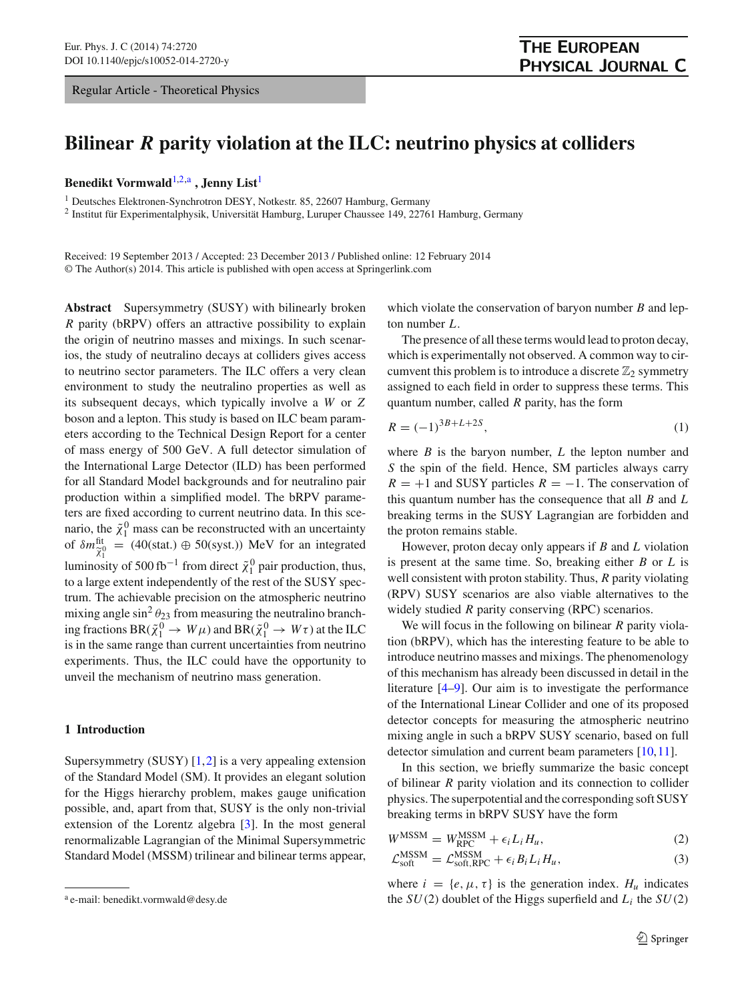Regular Article - Theoretical Physics

# **Bilinear** *R* **parity violation at the ILC: neutrino physics at colliders**

**Benedikt Vormwald**[1,2,](#page-0-0)a **, Jenny List**[1](#page-0-0)

<sup>1</sup> Deutsches Elektronen-Synchrotron DESY, Notkestr. 85, 22607 Hamburg, Germany

<sup>2</sup> Institut für Experimentalphysik, Universität Hamburg, Luruper Chaussee 149, 22761 Hamburg, Germany

Received: 19 September 2013 / Accepted: 23 December 2013 / Published online: 12 February 2014 © The Author(s) 2014. This article is published with open access at Springerlink.com

**Abstract** Supersymmetry (SUSY) with bilinearly broken *R* parity (bRPV) offers an attractive possibility to explain the origin of neutrino masses and mixings. In such scenarios, the study of neutralino decays at colliders gives access to neutrino sector parameters. The ILC offers a very clean environment to study the neutralino properties as well as its subsequent decays, which typically involve a *W* or *Z* boson and a lepton. This study is based on ILC beam parameters according to the Technical Design Report for a center of mass energy of 500 GeV. A full detector simulation of the International Large Detector (ILD) has been performed for all Standard Model backgrounds and for neutralino pair production within a simplified model. The bRPV parameters are fixed according to current neutrino data. In this scenario, the  $\tilde{\chi}_1^0$  mass can be reconstructed with an uncertainty of  $\delta m_{\tilde{v}^0}^{\text{fit}} = (40 \text{(stat.)} \oplus 50 \text{(syst.)}) \text{ MeV}$  for an integrated luminosity of 500 fb<sup>-1</sup> from direct  $\tilde{\chi}_1^0$  pair production, thus, to a large extent independently of the rest of the SUSY spectrum. The achievable precision on the atmospheric neutrino mixing angle  $\sin^2 \theta_{23}$  from measuring the neutralino branching fractions  $BR(\tilde{\chi}_1^0 \to W\mu)$  and  $BR(\tilde{\chi}_1^0 \to W\tau)$  at the ILC is in the same range than current uncertainties from neutrino experiments. Thus, the ILC could have the opportunity to unveil the mechanism of neutrino mass generation.

# **1 Introduction**

Supersymmetry (SUSY) [\[1,](#page-10-0)[2\]](#page-10-1) is a very appealing extension of the Standard Model (SM). It provides an elegant solution for the Higgs hierarchy problem, makes gauge unification possible, and, apart from that, SUSY is the only non-trivial extension of the Lorentz algebra [\[3](#page-10-2)]. In the most general renormalizable Lagrangian of the Minimal Supersymmetric Standard Model (MSSM) trilinear and bilinear terms appear,

<span id="page-0-0"></span>which violate the conservation of baryon number *B* and lepton number *L*.

The presence of all these terms would lead to proton decay, which is experimentally not observed. A common way to circumvent this problem is to introduce a discrete  $\mathbb{Z}_2$  symmetry assigned to each field in order to suppress these terms. This quantum number, called *R* parity, has the form

$$
R = (-1)^{3B + L + 2S},\tag{1}
$$

where *B* is the baryon number, *L* the lepton number and *S* the spin of the field. Hence, SM particles always carry  $R = +1$  and SUSY particles  $R = -1$ . The conservation of this quantum number has the consequence that all *B* and *L* breaking terms in the SUSY Lagrangian are forbidden and the proton remains stable.

However, proton decay only appears if *B* and *L* violation is present at the same time. So, breaking either *B* or *L* is well consistent with proton stability. Thus, *R* parity violating (RPV) SUSY scenarios are also viable alternatives to the widely studied *R* parity conserving (RPC) scenarios.

We will focus in the following on bilinear *R* parity violation (bRPV), which has the interesting feature to be able to introduce neutrino masses and mixings. The phenomenology of this mechanism has already been discussed in detail in the literature [\[4](#page-10-3)[–9\]](#page-10-4). Our aim is to investigate the performance of the International Linear Collider and one of its proposed detector concepts for measuring the atmospheric neutrino mixing angle in such a bRPV SUSY scenario, based on full detector simulation and current beam parameters [\[10](#page-10-5),[11\]](#page-10-6).

In this section, we briefly summarize the basic concept of bilinear *R* parity violation and its connection to collider physics. The superpotential and the corresponding soft SUSY breaking terms in bRPV SUSY have the form

$$
W^{\text{MSSM}} = W^{\text{MSSM}}_{\text{RPC}} + \epsilon_i L_i H_u,\tag{2}
$$

$$
\mathcal{L}_{\text{soft}}^{\text{MSSM}} = \mathcal{L}_{\text{soft,RPC}}^{\text{MSSM}} + \epsilon_i B_i L_i H_u,\tag{3}
$$

where  $i = \{e, \mu, \tau\}$  is the generation index.  $H_u$  indicates the  $SU(2)$  doublet of the Higgs superfield and  $L_i$  the  $SU(2)$ 

<sup>a</sup> e-mail: benedikt.vormwald@desy.de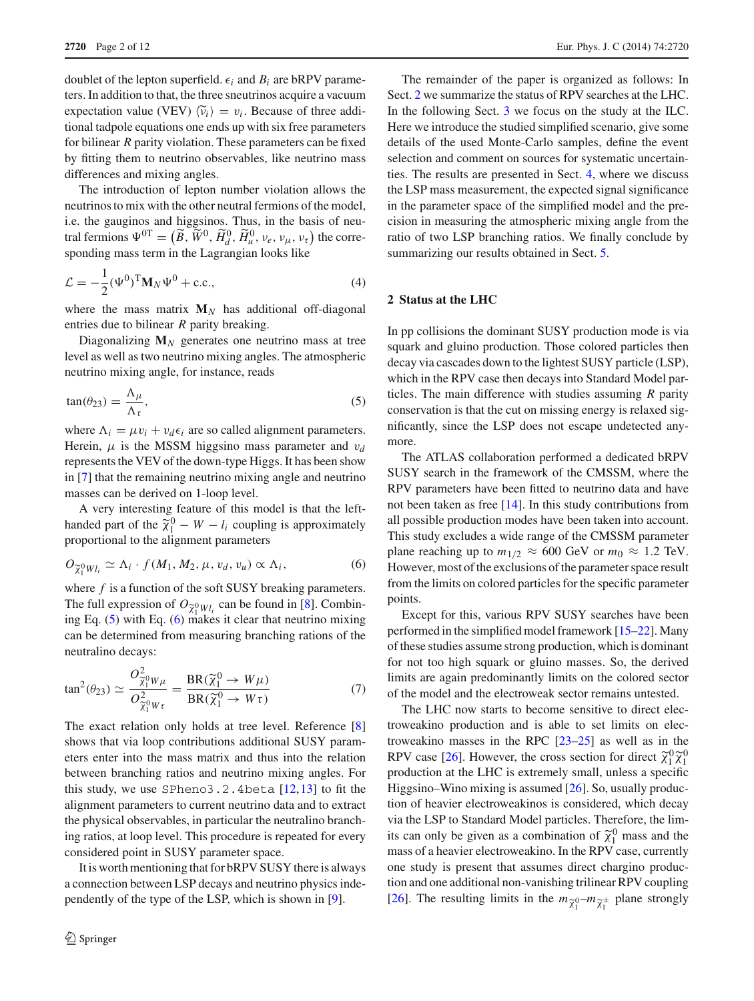doublet of the lepton superfield.  $\epsilon_i$  and  $B_i$  are bRPV parameters. In addition to that, the three sneutrinos acquire a vacuum expectation value (VEV)  $\langle \tilde{v}_i \rangle = v_i$ . Because of three additional tadpole equations one ends up with six free parameters tional tadpole equations one ends up with six free parameters for bilinear *R* parity violation. These parameters can be fixed by fitting them to neutrino observables, like neutrino mass differences and mixing angles.

The introduction of lepton number violation allows the neutrinos to mix with the other neutral fermions of the model, i.e. the gauginos and higgsinos. Thus, in the basis of neutral fermions  $\Psi^{0T} = (\widetilde{B}, \widetilde{W}^0, \widetilde{H}^0)$  $\widetilde{H}_{d}^{0},\widetilde{H}_{d}$  $\mathcal{U}_u^0$ ,  $v_e$ ,  $v_\mu$ ,  $v_\tau$ ) the corresponding mass term in the Lagrangian looks like

$$
\mathcal{L} = -\frac{1}{2} (\Psi^0)^{\mathrm{T}} \mathbf{M}_N \Psi^0 + \text{c.c.},
$$
\n(4)

where the mass matrix  $M_N$  has additional off-diagonal entries due to bilinear *R* parity breaking.

Diagonalizing  $M_N$  generates one neutrino mass at tree level as well as two neutrino mixing angles. The atmospheric neutrino mixing angle, for instance, reads

<span id="page-1-0"></span>
$$
\tan(\theta_{23}) = \frac{\Lambda_\mu}{\Lambda_\tau},\tag{5}
$$

where  $\Lambda_i = \mu v_i + v_d \epsilon_i$  are so called alignment parameters. Herein,  $\mu$  is the MSSM higgsino mass parameter and  $v_d$ represents the VEV of the down-type Higgs. It has been show in [\[7](#page-10-8)] that the remaining neutrino mixing angle and neutrino masses can be derived on 1-loop level.

A very interesting feature of this model is that the lefthanded part of the  $\tilde{\chi}_1^0 - W - l_i$  coupling is approximately<br>proportional to the alignment parameters proportional to the alignment parameters

<span id="page-1-1"></span>
$$
O_{\widetilde{\chi}_1^0 W l_i} \simeq \Lambda_i \cdot f(M_1, M_2, \mu, v_d, v_u) \propto \Lambda_i,
$$
\n(6)

where *f* is a function of the soft SUSY breaking parameters. The full expression of  $O_{\tilde{\chi}_1^0Wl_i}$  can be found in [\[8](#page-10-9)]. Combin-<br>ing Eq. (5) with Eq. (6) makes it clear that neutrino mixing ing Eq.  $(5)$  with Eq.  $(6)$  makes it clear that neutrino mixing can be determined from measuring branching rations of the neutralino decays:

<span id="page-1-3"></span>
$$
\tan^2(\theta_{23}) \simeq \frac{O_{\widetilde{\chi}_1^0 W \mu}^2}{O_{\widetilde{\chi}_1^0 W \tau}^2} = \frac{\text{BR}(\widetilde{\chi}_1^0 \to W \mu)}{\text{BR}(\widetilde{\chi}_1^0 \to W \tau)}
$$
(7)

The exact relation only holds at tree level. Reference [\[8\]](#page-10-9) shows that via loop contributions additional SUSY parameters enter into the mass matrix and thus into the relation between branching ratios and neutrino mixing angles. For this study, we use  $SPheno3.2.4$ beta  $[12,13]$  $[12,13]$  $[12,13]$  to fit the alignment parameters to current neutrino data and to extract the physical observables, in particular the neutralino branching ratios, at loop level. This procedure is repeated for every considered point in SUSY parameter space.

It is worth mentioning that for bRPV SUSY there is always a connection between LSP decays and neutrino physics independently of the type of the LSP, which is shown in [\[9](#page-10-4)].

The remainder of the paper is organized as follows: In Sect. [2](#page-1-2) we summarize the status of RPV searches at the LHC. In the following Sect. [3](#page-2-0) we focus on the study at the ILC. Here we introduce the studied simplified scenario, give some details of the used Monte-Carlo samples, define the event selection and comment on sources for systematic uncertainties. The results are presented in Sect. [4,](#page-7-0) where we discuss the LSP mass measurement, the expected signal significance in the parameter space of the simplified model and the precision in measuring the atmospheric mixing angle from the ratio of two LSP branching ratios. We finally conclude by summarizing our results obtained in Sect. [5.](#page-9-0)

#### <span id="page-1-2"></span>**2 Status at the LHC**

In pp collisions the dominant SUSY production mode is via squark and gluino production. Those colored particles then decay via cascades down to the lightest SUSY particle (LSP), which in the RPV case then decays into Standard Model particles. The main difference with studies assuming *R* parity conservation is that the cut on missing energy is relaxed significantly, since the LSP does not escape undetected anymore.

The ATLAS collaboration performed a dedicated bRPV SUSY search in the framework of the CMSSM, where the RPV parameters have been fitted to neutrino data and have not been taken as free [\[14](#page-10-12)]. In this study contributions from all possible production modes have been taken into account. This study excludes a wide range of the CMSSM parameter plane reaching up to  $m_{1/2} \approx 600$  GeV or  $m_0 \approx 1.2$  TeV. However, most of the exclusions of the parameter space result from the limits on colored particles for the specific parameter points.

Except for this, various RPV SUSY searches have been performed in the simplified model framework [\[15](#page-10-13)[–22\]](#page-11-0). Many of these studies assume strong production, which is dominant for not too high squark or gluino masses. So, the derived limits are again predominantly limits on the colored sector of the model and the electroweak sector remains untested.

The LHC now starts to become sensitive to direct electroweakino production and is able to set limits on electroweakino masses in the RPC [\[23](#page-11-1)[–25\]](#page-11-2) as well as in the RPV case [\[26\]](#page-11-3). However, the cross section for direct  $\tilde{\chi}_1^0 \tilde{\chi}_1^0$ <br>production at the LHC is extremely small, unless a specific production at the LHC is extremely small, unless a specific Higgsino–Wino mixing is assumed [\[26\]](#page-11-3). So, usually production of heavier electroweakinos is considered, which decay via the LSP to Standard Model particles. Therefore, the limits can only be given as a combination of  $\tilde{\chi}_1^0$  mass and the mass of a heavier electroweaking. In the RPV case, currently mass of a heavier electroweakino. In the RPV case, currently one study is present that assumes direct chargino production and one additional non-vanishing trilinear RPV coupling [\[26](#page-11-3)]. The resulting limits in the  $m_{\tilde{\chi}_1^0} - m_{\tilde{\chi}_1^{\pm}}$  plane strongly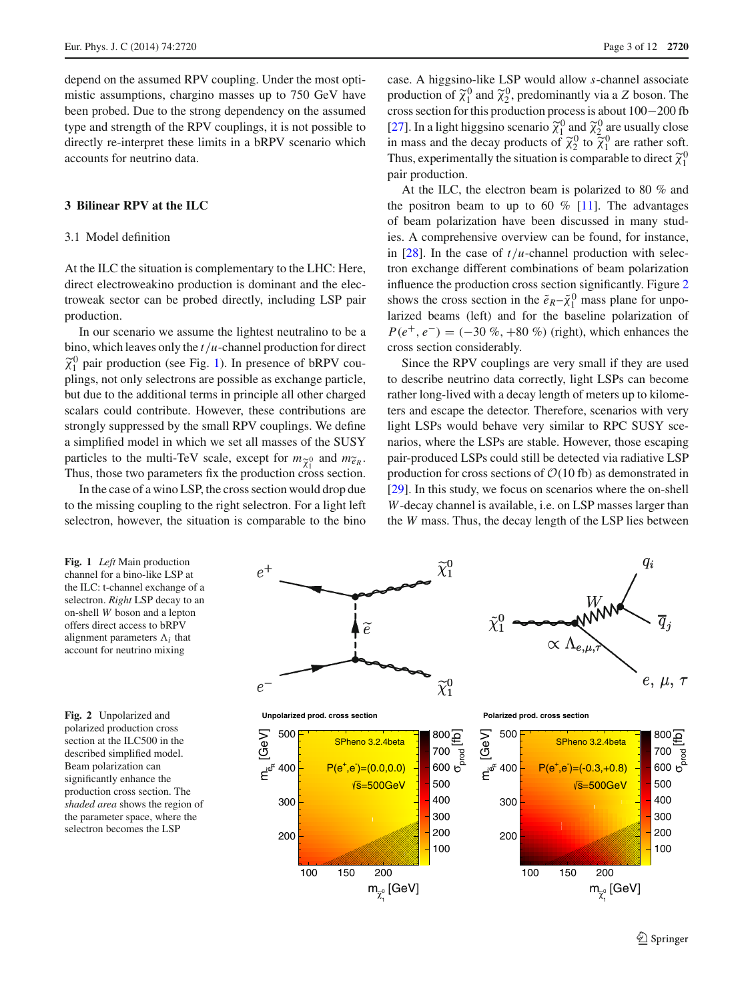depend on the assumed RPV coupling. Under the most optimistic assumptions, chargino masses up to 750 GeV have been probed. Due to the strong dependency on the assumed type and strength of the RPV couplings, it is not possible to directly re-interpret these limits in a bRPV scenario which accounts for neutrino data.

## <span id="page-2-0"></span>**3 Bilinear RPV at the ILC**

## 3.1 Model definition

At the ILC the situation is complementary to the LHC: Here, direct electroweakino production is dominant and the electroweak sector can be probed directly, including LSP pair production.

In our scenario we assume the lightest neutralino to be a bino, which leaves only the *t*/*u*-channel production for direct  $\tilde{\chi}_1^0$  pair production (see Fig. [1\)](#page-2-1). In presence of bRPV cou-<br>plings, not only selectrons are possible as exchange particle plings, not only selectrons are possible as exchange particle, but due to the additional terms in principle all other charged scalars could contribute. However, these contributions are strongly suppressed by the small RPV couplings. We define a simplified model in which we set all masses of the SUSY particles to the multi-TeV scale, except for  $m_{\tilde{\chi}_1^0}$  and  $m_{\tilde{\epsilon}_R}$ .<br>Thus those two parameters fix the production cross section Thus, those two parameters fix the production cross section.

In the case of a wino LSP, the cross section would drop due to the missing coupling to the right selectron. For a light left selectron, however, the situation is comparable to the bino case. A higgsino-like LSP would allow *s*-channel associate production of  $\tilde{\chi}_1^0$  and  $\tilde{\chi}_2^0$ , predominantly via a *Z* boson. The<br>cross section for this production process is about 100–200 fb cross section for this production process is about 100−200 fb [\[27](#page-11-4)]. In a light higgsino scenario  $\tilde{\chi}_1^0$  and  $\tilde{\chi}_2^0$  are usually close<br>in mass and the decay products of  $\tilde{\chi}_2^0$  to  $\tilde{\chi}_2^0$  are rather soft in mass and the decay products of  $\tilde{\chi}_2^0$  to  $\tilde{\chi}_1^0$  are rather soft.<br>Thus experimentally the situation is comparable to direct  $\tilde{\chi}^0$ Thus, experimentally the situation is comparable to direct  $\tilde{\chi}_1^0$ <br>pair production pair production.

At the ILC, the electron beam is polarized to 80 % and the positron beam to up to 60  $\%$  [\[11](#page-10-6)]. The advantages of beam polarization have been discussed in many studies. A comprehensive overview can be found, for instance, in  $[28]$ . In the case of  $t/u$ -channel production with selectron exchange different combinations of beam polarization influence the production cross section significantly. Figure [2](#page-2-2) shows the cross section in the  $\tilde{e}_R - \tilde{\chi}_1^0$  mass plane for unpolarized beams (left) and for the baseline polarization of  $P(e^+, e^-) = (-30\%, +80\%)$  (right), which enhances the cross section considerably.

Since the RPV couplings are very small if they are used to describe neutrino data correctly, light LSPs can become rather long-lived with a decay length of meters up to kilometers and escape the detector. Therefore, scenarios with very light LSPs would behave very similar to RPC SUSY scenarios, where the LSPs are stable. However, those escaping pair-produced LSPs could still be detected via radiative LSP production for cross sections of *O*(10 fb) as demonstrated in [\[29](#page-11-6)]. In this study, we focus on scenarios where the on-shell *W*-decay channel is available, i.e. on LSP masses larger than the *W* mass. Thus, the decay length of the LSP lies between

<span id="page-2-1"></span>**Fig. 1** *Left* Main production channel for a bino-like LSP at the ILC: t-channel exchange of a selectron. *Right* LSP decay to an on-shell *W* boson and a lepton offers direct access to bRPV alignment parameters  $\Lambda_i$  that account for neutrino mixing

<span id="page-2-2"></span>**Fig. 2** Unpolarized and polarized production cross section at the ILC500 in the described simplified model. Beam polarization can significantly enhance the production cross section. The *shaded area* shows the region of the parameter space, where the selectron becomes the LSP

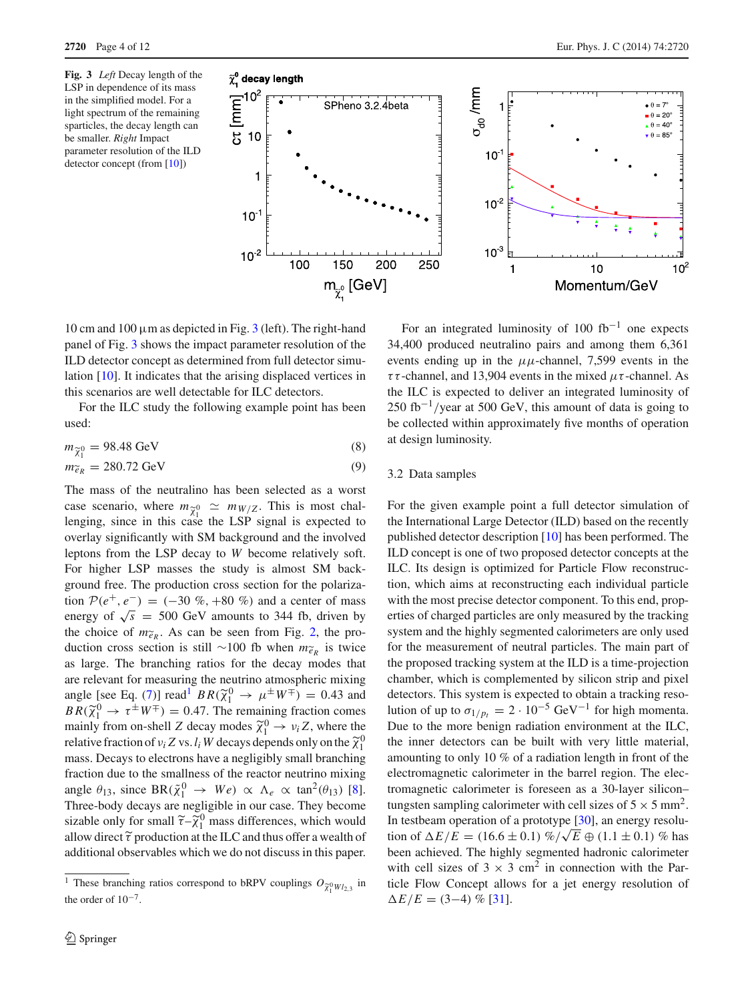<span id="page-3-0"></span>**Fig. 3** *Left* Decay length of the LSP in dependence of its mass in the simplified model. For a light spectrum of the remaining sparticles, the decay length can be smaller. *Right* Impact parameter resolution of the ILD detector concept (from [\[10\]](#page-10-5))



10 cm and 100  $\mu$ m as depicted in Fig. [3](#page-3-0) (left). The right-hand panel of Fig. [3](#page-3-0) shows the impact parameter resolution of the ILD detector concept as determined from full detector simulation [\[10\]](#page-10-5). It indicates that the arising displaced vertices in this scenarios are well detectable for ILC detectors.

For the ILC study the following example point has been used:

<span id="page-3-2"></span> $m_{\tilde{\chi}_1^0} = 98.48 \text{ GeV}$  (8)

$$
m_{\widetilde{e}_R} = 280.72 \text{ GeV}
$$
 (9)

The mass of the neutralino has been selected as a worst case scenario, where  $m_{\tilde{\chi}_1^0} \simeq m_{W/Z}$ . This is most chal-<br>lenging since in this case the LSP signal is expected to lenging, since in this case the LSP signal is expected to overlay significantly with SM background and the involved leptons from the LSP decay to *W* become relatively soft. For higher LSP masses the study is almost SM background free. The production cross section for the polarization  $P(e^+, e^-) = (-30\%, +80\%)$  and a center of mass energy of  $\sqrt{s}$  = 500 GeV amounts to 344 fb, driven by the choice of  $m_{\tilde{e}_R}$ . As can be seen from Fig. [2,](#page-2-2) the pro-<br>duction cross section is still  $\approx 100$  fb when  $m_{\tilde{e}}$  is twice duction cross section is still ∼100 fb when  $m\tilde{e}_R$  is twice as large. The branching ratios for the decay modes that are relevant for measuring the neutrino atmospheric mixing angle [see Eq. [\(7\)](#page-1-3)] read<sup>1</sup>  $BR(\tilde{\chi}_1^0 \to \mu^{\pm} W^{\mp}) = 0.43$  and  $BR(\tilde{\chi}_2^0 \to \tau^{\pm} W^{\mp}) = 0.47$  The remaining fraction comes  $BR(\tilde{\chi}_1^0 \to \tau^{\pm} W^{\mp}) = 0.47$ . The remaining fraction comes<br>mainly from on-shell Z decay modes  $\tilde{\chi}^0 \to wZ$  where the mainly from on-shell *Z* decay modes  $\tilde{\chi}_1^0 \rightarrow v_i Z$ , where the relative fraction of  $v \cdot Z$  vs. *l* W decays depends only on the  $\tilde{\chi}^0$ relative fraction of  $v_i Z$  vs.  $l_i W$  decays depends only on the  $\tilde{\chi}_1^0$ <br>mass. Decays to electrons have a negligibly small branching mass. Decays to electrons have a negligibly small branching fraction due to the smallness of the reactor neutrino mixing angle  $\theta_{13}$ , since  $BR(\tilde{\chi}_1^0 \to We) \propto \Lambda_e \propto \tan^2(\theta_{13})$  [\[8](#page-10-9)]. Three-body decays are negligible in our case. They become sizable only for small  $\tilde{\tau} - \tilde{\chi}_1^0$  mass differences, which would<br>allow direct  $\tilde{\tau}$  production at the IL C and thus offer a wealth of allow direct  $\tilde{\tau}$  production at the ILC and thus offer a wealth of additional observables which we do not discuss in this paper. additional observables which we do not discuss in this paper.

For an integrated luminosity of 100  $fb^{-1}$  one expects 34,400 produced neutralino pairs and among them 6,361 events ending up in the  $\mu\mu$ -channel, 7,599 events in the  $\tau\tau$ -channel, and 13,904 events in the mixed  $\mu\tau$ -channel. As the ILC is expected to deliver an integrated luminosity of 250 fb<sup>-1</sup>/year at 500 GeV, this amount of data is going to be collected within approximately five months of operation at design luminosity.

## 3.2 Data samples

For the given example point a full detector simulation of the International Large Detector (ILD) based on the recently published detector description [\[10\]](#page-10-5) has been performed. The ILD concept is one of two proposed detector concepts at the ILC. Its design is optimized for Particle Flow reconstruction, which aims at reconstructing each individual particle with the most precise detector component. To this end, properties of charged particles are only measured by the tracking system and the highly segmented calorimeters are only used for the measurement of neutral particles. The main part of the proposed tracking system at the ILD is a time-projection chamber, which is complemented by silicon strip and pixel detectors. This system is expected to obtain a tracking resolution of up to  $\sigma_{1/p_t} = 2 \cdot 10^{-5} \text{ GeV}^{-1}$  for high momenta. Due to the more benign radiation environment at the ILC, the inner detectors can be built with very little material, amounting to only 10 % of a radiation length in front of the electromagnetic calorimeter in the barrel region. The electromagnetic calorimeter is foreseen as a 30-layer silicon– tungsten sampling calorimeter with cell sizes of  $5 \times 5$  mm<sup>2</sup>. In testbeam operation of a prototype [\[30\]](#page-11-7), an energy resolu-In testbeam operation of a prototype [30], an energy resolution of  $\Delta E/E = (16.6 \pm 0.1) \% / \sqrt{E} \oplus (1.1 \pm 0.1) \%$  has been achieved. The highly segmented hadronic calorimeter with cell sizes of  $3 \times 3$  cm<sup>2</sup> in connection with the Particle Flow Concept allows for a jet energy resolution of  $\Delta E/E = (3-4) \%$  [\[31](#page-11-8)].

<span id="page-3-1"></span><sup>&</sup>lt;sup>1</sup> These branching ratios correspond to bRPV couplings  $O_{\tilde{\chi}_1^0 W l_{2,3}}$  in the order of  $10^{-7}$ .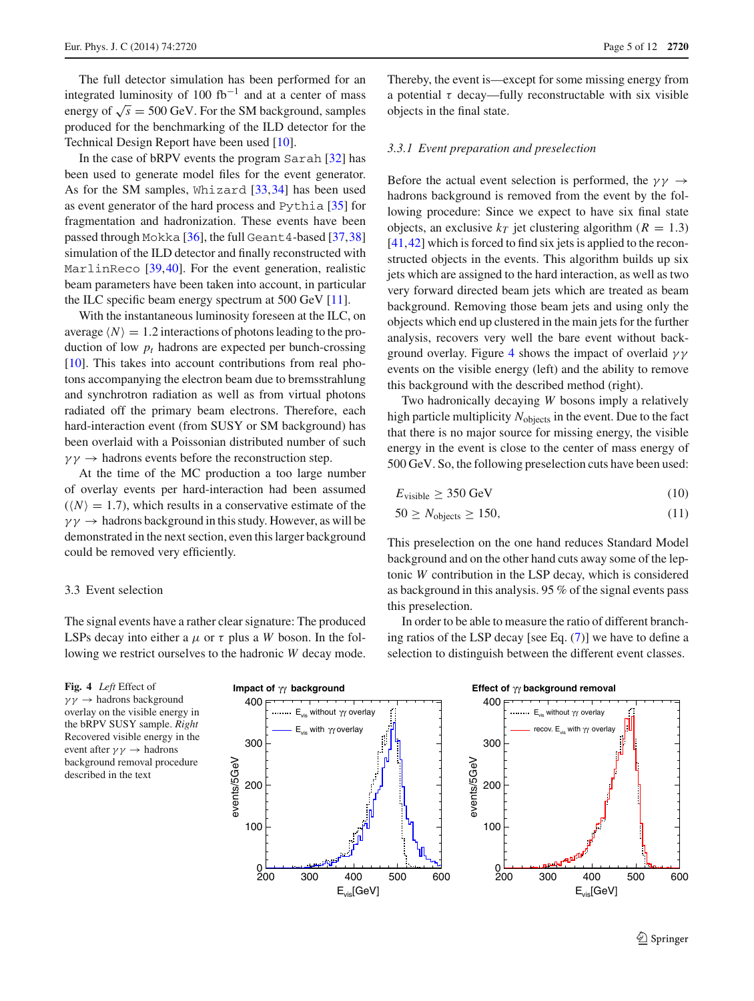The full detector simulation has been performed for an integrated luminosity of 100 fb<sup>-1</sup> and at a center of mass energy of  $\sqrt{s}$  = 500 GeV. For the SM background, samples produced for the benchmarking of the ILD detector for the Technical Design Report have been used [\[10\]](#page-10-5).

In the case of bRPV events the program Sarah [\[32\]](#page-11-9) has been used to generate model files for the event generator. As for the SM samples, Whizard [\[33](#page-11-10),[34\]](#page-11-11) has been used as event generator of the hard process and Pythia [\[35\]](#page-11-12) for fragmentation and hadronization. These events have been passed through Mokka [\[36\]](#page-11-13), the full Geant 4-based [\[37,](#page-11-14)[38\]](#page-11-15) simulation of the ILD detector and finally reconstructed with MarlinReco [\[39](#page-11-16)[,40](#page-11-17)]. For the event generation, realistic beam parameters have been taken into account, in particular the ILC specific beam energy spectrum at 500 GeV [\[11](#page-10-6)].

With the instantaneous luminosity foreseen at the ILC, on average  $\langle N \rangle = 1.2$  interactions of photons leading to the production of low  $p_t$  hadrons are expected per bunch-crossing [\[10](#page-10-5)]. This takes into account contributions from real photons accompanying the electron beam due to bremsstrahlung and synchrotron radiation as well as from virtual photons radiated off the primary beam electrons. Therefore, each hard-interaction event (from SUSY or SM background) has been overlaid with a Poissonian distributed number of such  $\gamma \gamma \rightarrow$  hadrons events before the reconstruction step.

At the time of the MC production a too large number of overlay events per hard-interaction had been assumed  $(N = 1.7)$ , which results in a conservative estimate of the  $\gamma \gamma \rightarrow$  hadrons background in this study. However, as will be demonstrated in the next section, even this larger background could be removed very efficiently.

#### 3.3 Event selection

The signal events have a rather clear signature: The produced LSPs decay into either a  $\mu$  or  $\tau$  plus a *W* boson. In the following we restrict ourselves to the hadronic *W* decay mode.

<span id="page-4-0"></span>**Fig. 4** *Left* Effect of  $\gamma \gamma \rightarrow$  hadrons background overlay on the visible energy in the bRPV SUSY sample. *Right* Recovered visible energy in the event after  $\gamma \gamma \rightarrow$  hadrons background removal procedure described in the text

Thereby, the event is—except for some missing energy from a potential  $\tau$  decay—fully reconstructable with six visible objects in the final state.

## *3.3.1 Event preparation and preselection*

Before the actual event selection is performed, the  $\gamma \gamma \rightarrow$ hadrons background is removed from the event by the following procedure: Since we expect to have six final state objects, an exclusive  $k_T$  jet clustering algorithm ( $R = 1.3$ ) [\[41](#page-11-18),[42\]](#page-11-19) which is forced to find six jets is applied to the reconstructed objects in the events. This algorithm builds up six jets which are assigned to the hard interaction, as well as two very forward directed beam jets which are treated as beam background. Removing those beam jets and using only the objects which end up clustered in the main jets for the further analysis, recovers very well the bare event without back-ground overlay. Figure [4](#page-4-0) shows the impact of overlaid  $\gamma \gamma$ events on the visible energy (left) and the ability to remove this background with the described method (right).

Two hadronically decaying *W* bosons imply a relatively high particle multiplicity  $N_{objects}$  in the event. Due to the fact that there is no major source for missing energy, the visible energy in the event is close to the center of mass energy of 500 GeV. So, the following preselection cuts have been used:

$$
E_{\text{visible}} \ge 350 \text{ GeV} \tag{10}
$$

$$
50 \ge N_{\text{objects}} \ge 150,\tag{11}
$$

This preselection on the one hand reduces Standard Model background and on the other hand cuts away some of the leptonic *W* contribution in the LSP decay, which is considered as background in this analysis. 95 % of the signal events pass this preselection.

In order to be able to measure the ratio of different branching ratios of the LSP decay [see Eq. [\(7\)](#page-1-3)] we have to define a selection to distinguish between the different event classes.

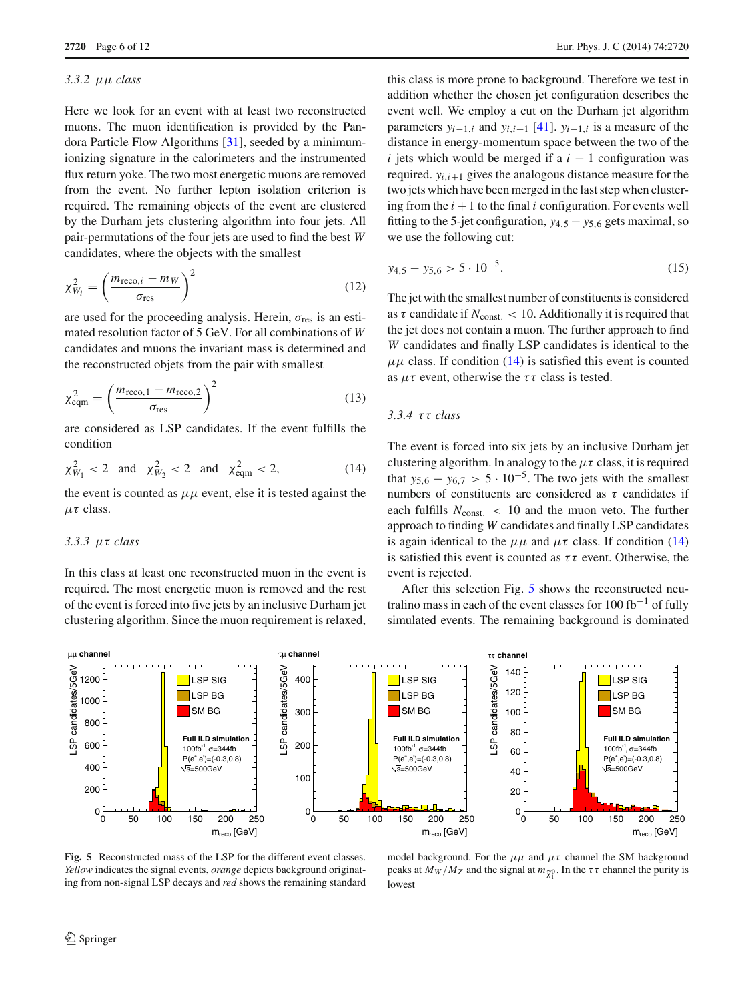## *3.3.2* μμ *class*

Here we look for an event with at least two reconstructed muons. The muon identification is provided by the Pandora Particle Flow Algorithms [\[31\]](#page-11-8), seeded by a minimumionizing signature in the calorimeters and the instrumented flux return yoke. The two most energetic muons are removed from the event. No further lepton isolation criterion is required. The remaining objects of the event are clustered by the Durham jets clustering algorithm into four jets. All pair-permutations of the four jets are used to find the best *W* candidates, where the objects with the smallest

$$
\chi_{W_i}^2 = \left(\frac{m_{\text{reco},i} - m_W}{\sigma_{\text{res}}}\right)^2 \tag{12}
$$

are used for the proceeding analysis. Herein,  $\sigma_{res}$  is an estimated resolution factor of 5 GeV. For all combinations of *W* candidates and muons the invariant mass is determined and the reconstructed objets from the pair with smallest

$$
\chi_{\text{eqm}}^2 = \left(\frac{m_{\text{reco},1} - m_{\text{reco},2}}{\sigma_{\text{res}}}\right)^2\tag{13}
$$

are considered as LSP candidates. If the event fulfills the condition

<span id="page-5-0"></span>
$$
\chi^2_{W_1} < 2
$$
 and  $\chi^2_{W_2} < 2$  and  $\chi^2_{\text{eqm}} < 2$ , (14)

the event is counted as  $\mu\mu$  event, else it is tested against the  $\mu\tau$  class.

## *3.3.3* μτ *class*

In this class at least one reconstructed muon in the event is required. The most energetic muon is removed and the rest of the event is forced into five jets by an inclusive Durham jet clustering algorithm. Since the muon requirement is relaxed,

this class is more prone to background. Therefore we test in addition whether the chosen jet configuration describes the event well. We employ a cut on the Durham jet algorithm parameters  $y_{i-1,i}$  and  $y_{i,i+1}$  [\[41](#page-11-18)].  $y_{i-1,i}$  is a measure of the distance in energy-momentum space between the two of the *i* jets which would be merged if a *i* − 1 configuration was required.  $y_{i,i+1}$  gives the analogous distance measure for the two jets which have been merged in the last step when clustering from the  $i + 1$  to the final  $i$  configuration. For events well fitting to the 5-jet configuration,  $y_{4.5} - y_{5.6}$  gets maximal, so we use the following cut:

$$
y_{4,5} - y_{5,6} > 5 \cdot 10^{-5}.\tag{15}
$$

The jet with the smallest number of constituents is considered as  $\tau$  candidate if  $N_{\text{const.}} < 10$ . Additionally it is required that the jet does not contain a muon. The further approach to find *W* candidates and finally LSP candidates is identical to the  $\mu\mu$  class. If condition [\(14\)](#page-5-0) is satisfied this event is counted as  $\mu\tau$  event, otherwise the  $\tau\tau$  class is tested.

# *3.3.4* τ τ *class*

The event is forced into six jets by an inclusive Durham jet clustering algorithm. In analogy to the  $\mu\tau$  class, it is required that  $y_{5,6} - y_{6,7} > 5 \cdot 10^{-5}$ . The two jets with the smallest numbers of constituents are considered as  $\tau$  candidates if each fulfills  $N_{\text{const.}}$  < 10 and the muon veto. The further approach to finding *W* candidates and finally LSP candidates is again identical to the  $\mu\mu$  and  $\mu\tau$  class. If condition [\(14\)](#page-5-0) is satisfied this event is counted as  $\tau\tau$  event. Otherwise, the event is rejected.

After this selection Fig. [5](#page-5-1) shows the reconstructed neutralino mass in each of the event classes for 100 fb<sup>-1</sup> of fully simulated events. The remaining background is dominated



<span id="page-5-1"></span>**Fig. 5** Reconstructed mass of the LSP for the different event classes. *Yellow* indicates the signal events, *orange* depicts background originating from non-signal LSP decays and *red* shows the remaining standard

model background. For the  $\mu\mu$  and  $\mu\tau$  channel the SM background peaks at  $M_W/M_Z$  and the signal at  $m_{\tilde{\chi}_1^0}$ . In the  $\tau \tau$  channel the purity is lowest lowest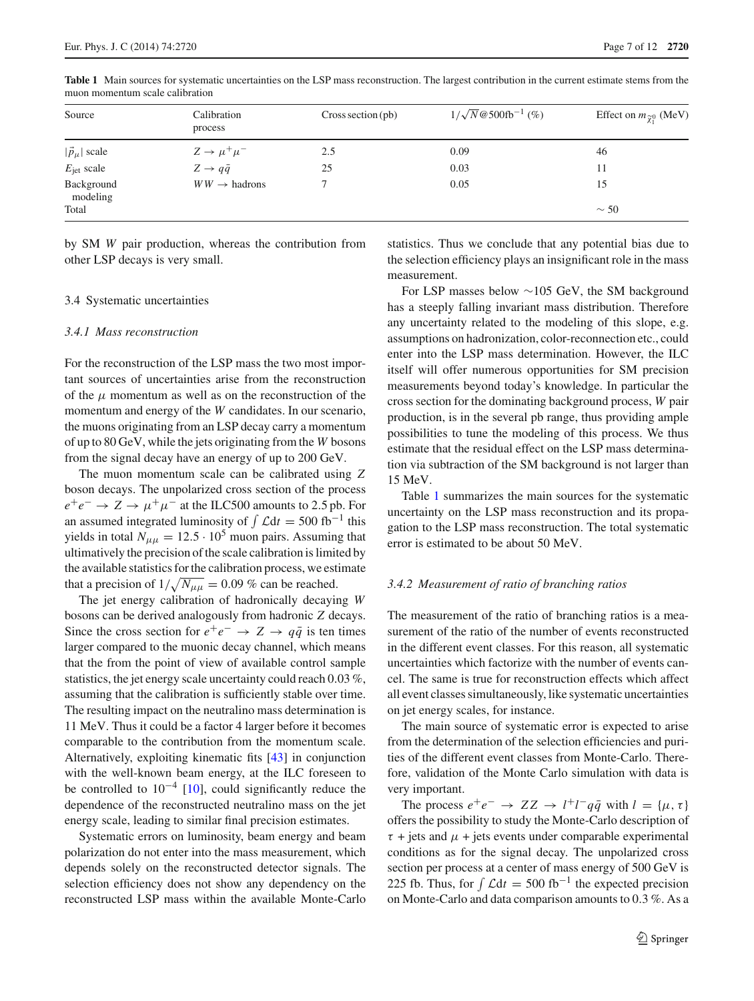| Source                          | Calibration<br>process      | Cross section (pb) | $1/\sqrt{N}$ @500fb <sup>-1</sup> (%) | Effect on $m_{\tilde{\chi}_1^0}$ (MeV) |
|---------------------------------|-----------------------------|--------------------|---------------------------------------|----------------------------------------|
| $ \vec{p}_{\mu} $ scale         | $Z \rightarrow \mu^+ \mu^-$ | 2.5                | 0.09                                  | 46                                     |
| $E_{\rm jet}$ scale             | $Z \rightarrow q\bar{q}$    | 25                 | 0.03                                  | 11                                     |
| Background<br>modeling<br>Total | $WW \rightarrow$ hadrons    |                    | 0.05                                  | 15<br>$\sim$ 50                        |

<span id="page-6-0"></span>**Table 1** Main sources for systematic uncertainties on the LSP mass reconstruction. The largest contribution in the current estimate stems from the muon momentum scale calibration

by SM *W* pair production, whereas the contribution from other LSP decays is very small.

#### <span id="page-6-1"></span>3.4 Systematic uncertainties

## *3.4.1 Mass reconstruction*

For the reconstruction of the LSP mass the two most important sources of uncertainties arise from the reconstruction of the  $\mu$  momentum as well as on the reconstruction of the momentum and energy of the *W* candidates. In our scenario, the muons originating from an LSP decay carry a momentum of up to 80 GeV, while the jets originating from the *W* bosons from the signal decay have an energy of up to 200 GeV.

The muon momentum scale can be calibrated using *Z* boson decays. The unpolarized cross section of the process  $e^+e^- \rightarrow Z \rightarrow \mu^+\mu^-$  at the ILC500 amounts to 2.5 pb. For an assumed integrated luminosity of  $\int \mathcal{L} dt = 500$  fb<sup>-1</sup> this yields in total  $N_{\mu\mu} = 12.5 \cdot 10^5$  muon pairs. Assuming that ultimatively the precision of the scale calibration is limited by the available statistics for the calibration process, we estimate that a precision of  $1/\sqrt{N_{\mu\mu}} = 0.09\%$  can be reached.

The jet energy calibration of hadronically decaying *W* bosons can be derived analogously from hadronic *Z* decays. Since the cross section for  $e^+e^- \rightarrow Z \rightarrow q\bar{q}$  is ten times larger compared to the muonic decay channel, which means that the from the point of view of available control sample statistics, the jet energy scale uncertainty could reach 0.03 %, assuming that the calibration is sufficiently stable over time. The resulting impact on the neutralino mass determination is 11 MeV. Thus it could be a factor 4 larger before it becomes comparable to the contribution from the momentum scale. Alternatively, exploiting kinematic fits [\[43](#page-11-20)] in conjunction with the well-known beam energy, at the ILC foreseen to be controlled to  $10^{-4}$  [\[10\]](#page-10-5), could significantly reduce the dependence of the reconstructed neutralino mass on the jet energy scale, leading to similar final precision estimates.

Systematic errors on luminosity, beam energy and beam polarization do not enter into the mass measurement, which depends solely on the reconstructed detector signals. The selection efficiency does not show any dependency on the reconstructed LSP mass within the available Monte-Carlo statistics. Thus we conclude that any potential bias due to the selection efficiency plays an insignificant role in the mass measurement.

For LSP masses below ∼105 GeV, the SM background has a steeply falling invariant mass distribution. Therefore any uncertainty related to the modeling of this slope, e.g. assumptions on hadronization, color-reconnection etc., could enter into the LSP mass determination. However, the ILC itself will offer numerous opportunities for SM precision measurements beyond today's knowledge. In particular the cross section for the dominating background process, *W* pair production, is in the several pb range, thus providing ample possibilities to tune the modeling of this process. We thus estimate that the residual effect on the LSP mass determination via subtraction of the SM background is not larger than 15 MeV.

Table [1](#page-6-0) summarizes the main sources for the systematic uncertainty on the LSP mass reconstruction and its propagation to the LSP mass reconstruction. The total systematic error is estimated to be about 50 MeV.

#### *3.4.2 Measurement of ratio of branching ratios*

The measurement of the ratio of branching ratios is a measurement of the ratio of the number of events reconstructed in the different event classes. For this reason, all systematic uncertainties which factorize with the number of events cancel. The same is true for reconstruction effects which affect all event classes simultaneously, like systematic uncertainties on jet energy scales, for instance.

The main source of systematic error is expected to arise from the determination of the selection efficiencies and purities of the different event classes from Monte-Carlo. Therefore, validation of the Monte Carlo simulation with data is very important.

The process  $e^+e^- \rightarrow ZZ \rightarrow l^+l^-q\bar{q}$  with  $l = {\mu, \tau}$ offers the possibility to study the Monte-Carlo description of  $\tau$  + jets and  $\mu$  + jets events under comparable experimental conditions as for the signal decay. The unpolarized cross section per process at a center of mass energy of 500 GeV is 225 fb. Thus, for  $\int \mathcal{L} dt = 500$  fb<sup>-1</sup> the expected precision on Monte-Carlo and data comparison amounts to 0.3 %. As a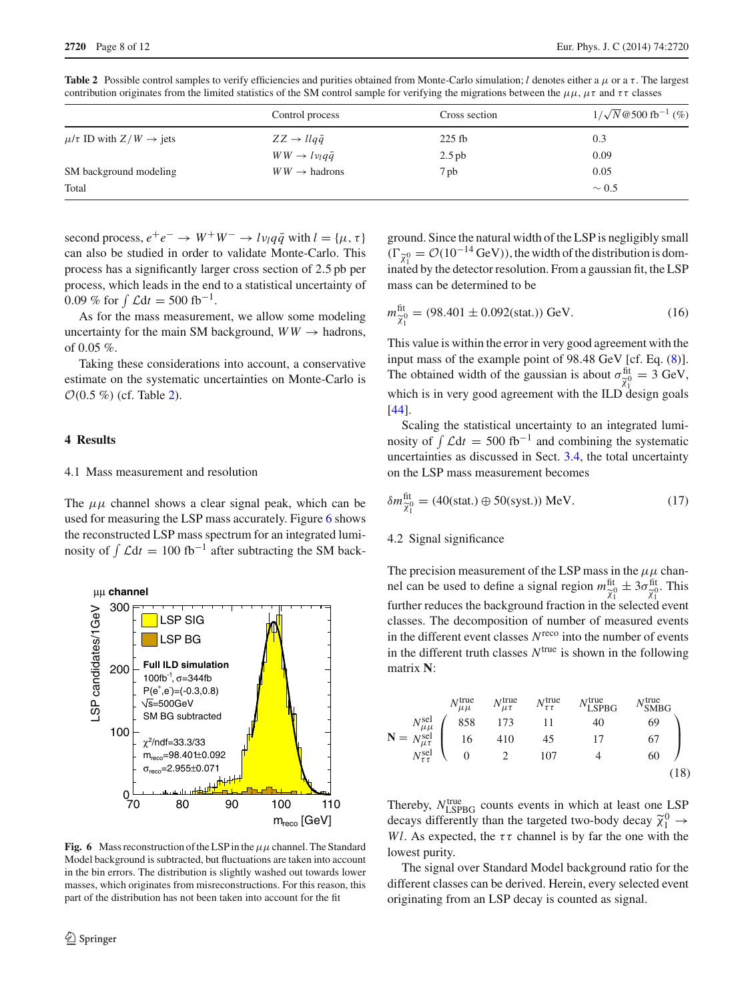| Control process                  | Cross section | $1/\sqrt{N}$ @500 fb <sup>-1</sup> (%) |
|----------------------------------|---------------|----------------------------------------|
| $ZZ \rightarrow l l q \bar{q}$   | $225$ fb      | 0.3                                    |
| $WW \rightarrow l\nu_l q\bar{q}$ | $2.5$ pb      | 0.09                                   |
| $WW \rightarrow$ hadrons         | 7 pb          | 0.05                                   |
|                                  |               | $\sim 0.5$                             |
|                                  |               |                                        |

<span id="page-7-1"></span>**Table 2** Possible control samples to verify efficiencies and purities obtained from Monte-Carlo simulation; *l* denotes either a μ or a τ . The largest contribution originates from the limited statistics of the SM control sample for verifying the migrations between the  $\mu\mu$ ,  $\mu\tau$  and  $\tau\tau$  classes

second process,  $e^+e^- \rightarrow W^+W^- \rightarrow l\nu_l q\bar{q}$  with  $l = {\mu, \tau}$ can also be studied in order to validate Monte-Carlo. This process has a significantly larger cross section of 2.5 pb per process, which leads in the end to a statistical uncertainty of 0.09 % for  $\int \mathcal{L} dt = 500$  fb<sup>-1</sup>.

As for the mass measurement, we allow some modeling uncertainty for the main SM background,  $WW \rightarrow$  hadrons, of  $0.05\%$ .

Taking these considerations into account, a conservative estimate on the systematic uncertainties on Monte-Carlo is *O*(0.5 %) (cf. Table [2\)](#page-7-1).

## <span id="page-7-0"></span>**4 Results**

## 4.1 Mass measurement and resolution

The  $\mu\mu$  channel shows a clear signal peak, which can be used for measuring the LSP mass accurately. Figure [6](#page-7-2) shows the reconstructed LSP mass spectrum for an integrated luminosity of  $\int \mathcal{L} dt = 100 \text{ fb}^{-1}$  after subtracting the SM back-



<span id="page-7-2"></span>**Fig. 6** Mass reconstruction of the LSP in the  $\mu\mu$  channel. The Standard Model background is subtracted, but fluctuations are taken into account in the bin errors. The distribution is slightly washed out towards lower masses, which originates from misreconstructions. For this reason, this part of the distribution has not been taken into account for the fit

ground. Since the natural width of the LSP is negligibly small  $(\Gamma_{\widetilde{\chi}_1^0} = \mathcal{O}(10^{-14} \text{ GeV}))$ , the width of the distribution is dom-<br>inated by the detector resolution. From a gaussian fit, the LSP inated by the detector resolution. From a gaussian fit, the LSP mass can be determined to be

$$
m_{\tilde{\chi}_1^0}^{\text{fit}} = (98.401 \pm 0.092 \text{(stat.)}) \text{ GeV}.
$$
 (16)

This value is within the error in very good agreement with the input mass of the example point of 98.48 GeV [cf. Eq. [\(8\)](#page-3-2)]. The obtained width of the gaussian is about  $\sigma_{\tilde{v}^0}^{\text{fit}} = 3 \text{ GeV}$ , which is in very good agreement with the ILD design goals [\[44](#page-11-21)].

Scaling the statistical uncertainty to an integrated luminosity of  $\int \mathcal{L} dt = 500$  fb<sup>-1</sup> and combining the systematic uncertainties as discussed in Sect. [3.4,](#page-6-1) the total uncertainty on the LSP mass measurement becomes

$$
\delta m_{\widetilde{\chi}_1^0}^{\text{fit}} = (40(\text{stat.}) \oplus 50(\text{syst.})) \text{ MeV.}
$$
 (17)

# 4.2 Signal significance

The precision measurement of the LSP mass in the  $\mu\mu$  channel can be used to define a signal region  $m_{\infty}^{\text{fit}}$  $\frac{\text{fit}}{\tilde{\chi}_1^0} \pm 3\sigma \frac{\text{fit}}{\tilde{\chi}_1^0}$ <br>he selected  $\tilde{\chi}_1^0$ . This<br>ed event further reduces the background fraction in the selected event classes. The decomposition of number of measured events in the different event classes  $N^{\text{reco}}$  into the number of events in the different truth classes  $N^{\text{true}}$  is shown in the following matrix **N**:

$$
N = N_{\mu\mu}^{\text{Sel}} \begin{pmatrix} N_{\mu\mu}^{\text{true}} & N_{\mu\tau}^{\text{true}} & N_{\text{TSPBG}}^{\text{true}} & N_{\text{SMBG}}^{\text{true}} \\ 858 & 173 & 11 & 40 & 69 \\ N = N_{\mu\tau}^{\text{sel}} & 16 & 410 & 45 & 17 & 67 \\ N_{\tau\tau}^{\text{sel}} & 0 & 2 & 107 & 4 & 60 \end{pmatrix}
$$
 (18)

Thereby,  $N_{\text{LSPBG}}^{\text{true}}$  counts events in which at least one LSP decays differently than the targeted two-body decay  $\widetilde{\chi}_1^0 \rightarrow$ <br>W<sub>L</sub> As expected, the  $\tau\tau$  channel is by far the one with the *Wl*. As expected, the  $\tau \tau$  channel is by far the one with the lowest purity.

The signal over Standard Model background ratio for the different classes can be derived. Herein, every selected event originating from an LSP decay is counted as signal.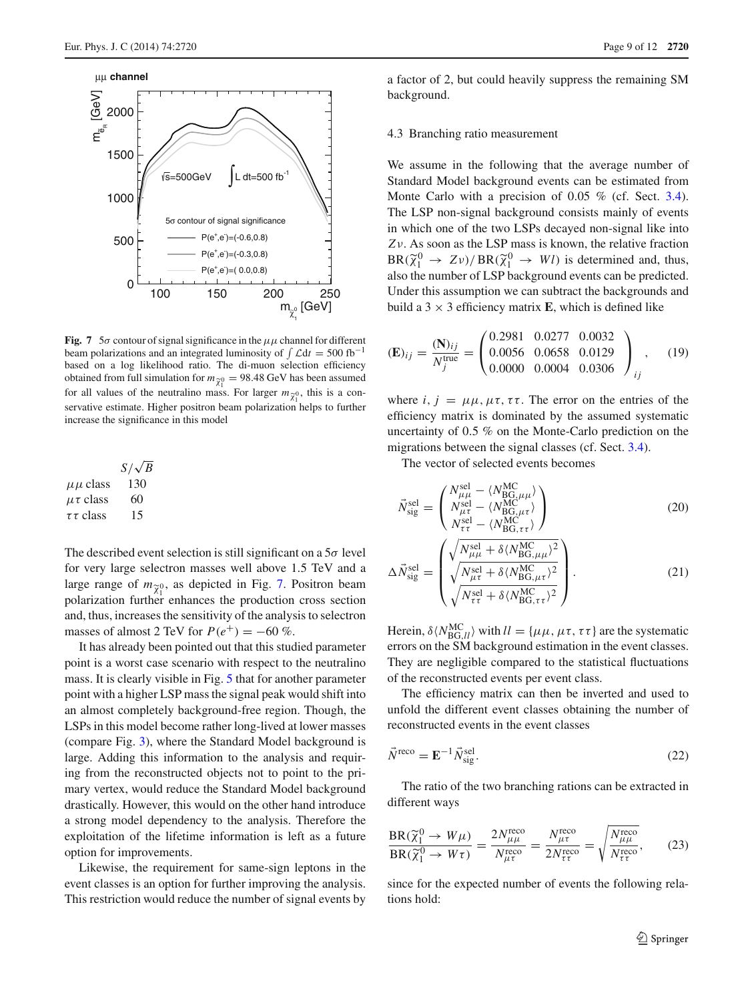

<span id="page-8-0"></span>**Fig. 7** 5 $\sigma$  contour of signal significance in the  $\mu\mu$  channel for different beam polarizations and an integrated luminosity of  $\int \mathcal{L} dt = 500$  fb<sup>-1</sup> based on a log likelihood ratio. The di-muon selection efficiency obtained from full simulation for  $m_{\tilde{\chi}_1^0} = 98.48 \text{ GeV}$  has been assumed<br>for all values of the neutralino mass. For larger  $m_{\tilde{\chi}_1^0}$  this is a confor all values of the neutralino mass. For larger  $m_{\tilde{\chi}_1^0}$ , this is a con-<br>servative estimate. Higher positron beam polarization belps to further servative estimate. Higher positron beam polarization helps to further increase the significance in this model

|                  | $S/\sqrt{B}$ |
|------------------|--------------|
| $\mu\mu$ class   | 130          |
| $\mu\tau$ class  | 60           |
| $\tau\tau$ class | 15           |

The described event selection is still significant on a  $5\sigma$  level for very large selectron masses well above 1.5 TeV and a large range of  $m_{\tilde{\chi}_1^0}$ , as depicted in Fig. [7.](#page-8-0) Positron beam<br>polarization further enhances the production cross section polarization further enhances the production cross section and, thus, increases the sensitivity of the analysis to selectron masses of almost 2 TeV for  $P(e^+) = -60\%$ .

It has already been pointed out that this studied parameter point is a worst case scenario with respect to the neutralino mass. It is clearly visible in Fig. [5](#page-5-1) that for another parameter point with a higher LSP mass the signal peak would shift into an almost completely background-free region. Though, the LSPs in this model become rather long-lived at lower masses (compare Fig. [3\)](#page-3-0), where the Standard Model background is large. Adding this information to the analysis and requiring from the reconstructed objects not to point to the primary vertex, would reduce the Standard Model background drastically. However, this would on the other hand introduce a strong model dependency to the analysis. Therefore the exploitation of the lifetime information is left as a future option for improvements.

Likewise, the requirement for same-sign leptons in the event classes is an option for further improving the analysis. This restriction would reduce the number of signal events by a factor of 2, but could heavily suppress the remaining SM background.

## 4.3 Branching ratio measurement

We assume in the following that the average number of Standard Model background events can be estimated from Monte Carlo with a precision of 0.05 % (cf. Sect. [3.4\)](#page-6-1). The LSP non-signal background consists mainly of events in which one of the two LSPs decayed non-signal like into *Z*ν. As soon as the LSP mass is known, the relative fraction  $BR(\tilde{\chi}_1^0 \to Z\nu)/BR(\tilde{\chi}_1^0 \to Wl)$  is determined and, thus,<br>also the number of LSP background events can be predicted also the number of LSP background events can be predicted. Under this assumption we can subtract the backgrounds and build a  $3 \times 3$  efficiency matrix **E**, which is defined like

$$
(\mathbf{E})_{ij} = \frac{(\mathbf{N})_{ij}}{N_j^{\text{true}}} = \begin{pmatrix} 0.2981 & 0.0277 & 0.0032 \\ 0.0056 & 0.0658 & 0.0129 \\ 0.0000 & 0.0004 & 0.0306 \end{pmatrix}_{ij}, \quad (19)
$$

where  $i, j = \mu\mu, \mu\tau, \tau\tau$ . The error on the entries of the efficiency matrix is dominated by the assumed systematic uncertainty of 0.5 % on the Monte-Carlo prediction on the migrations between the signal classes (cf. Sect. [3.4\)](#page-6-1).

The vector of selected events becomes

$$
\vec{N}_{sig}^{sel} = \begin{pmatrix} N_{\mu\mu}^{sel} - \langle N_{BG,\mu\mu}^{MC} \rangle \\ N_{\mu\tau}^{sel} - \langle N_{BG,\mu\tau}^{MC} \rangle \\ N_{\tau\tau}^{sel} - \langle N_{BG,\tau\tau}^{MC} \rangle \end{pmatrix}
$$
\n
$$
\begin{pmatrix} \sqrt{N_{\mu\mu}^{sel} + \delta \langle N_{BG,\mu\mu}^{MC} \rangle^2} \end{pmatrix}
$$
\n(20)

$$
\Delta \vec{N}_{\text{sig}}^{\text{sel}} = \begin{bmatrix} V^{1\cdot\mu\mu + \sigma \sqrt{1\cdot\text{BG}} , \mu\mu'} \\ \sqrt{N_{\mu\tau}^{\text{sel}} + \delta \langle N_{\text{BG}}^{\text{MC}} , \mu\tau \rangle^2} \\ \sqrt{N_{\tau\tau}^{\text{sel}} + \delta \langle N_{\text{BG}}^{\text{MC}} , \tau\tau \rangle^2} \end{bmatrix} . \tag{21}
$$

Herein,  $\delta \langle N_{\text{BG},ll}^{\text{MC}} \rangle$  with  $ll = {\mu \mu, \mu \tau, \tau \tau}$  are the systematic errors on the SM background estimation in the event classes. They are negligible compared to the statistical fluctuations of the reconstructed events per event class.

The efficiency matrix can then be inverted and used to unfold the different event classes obtaining the number of reconstructed events in the event classes

$$
\vec{N}^{\text{reco}} = \mathbf{E}^{-1} \vec{N}_{\text{sig}}^{\text{sel}}.
$$
\n(22)

The ratio of the two branching rations can be extracted in different ways

<span id="page-8-1"></span>
$$
\frac{\text{BR}(\widetilde{\chi}_1^0 \to W\mu)}{\text{BR}(\widetilde{\chi}_1^0 \to W\tau)} = \frac{2N_{\mu\mu}^{\text{reco}}}{N_{\mu\tau}^{\text{reco}}} = \frac{N_{\mu\tau}^{\text{reco}}}{2N_{\tau\tau}^{\text{reco}}} = \sqrt{\frac{N_{\mu\mu}^{\text{reco}}}{N_{\tau\tau}^{\text{reco}}}},\tag{23}
$$

since for the expected number of events the following relations hold: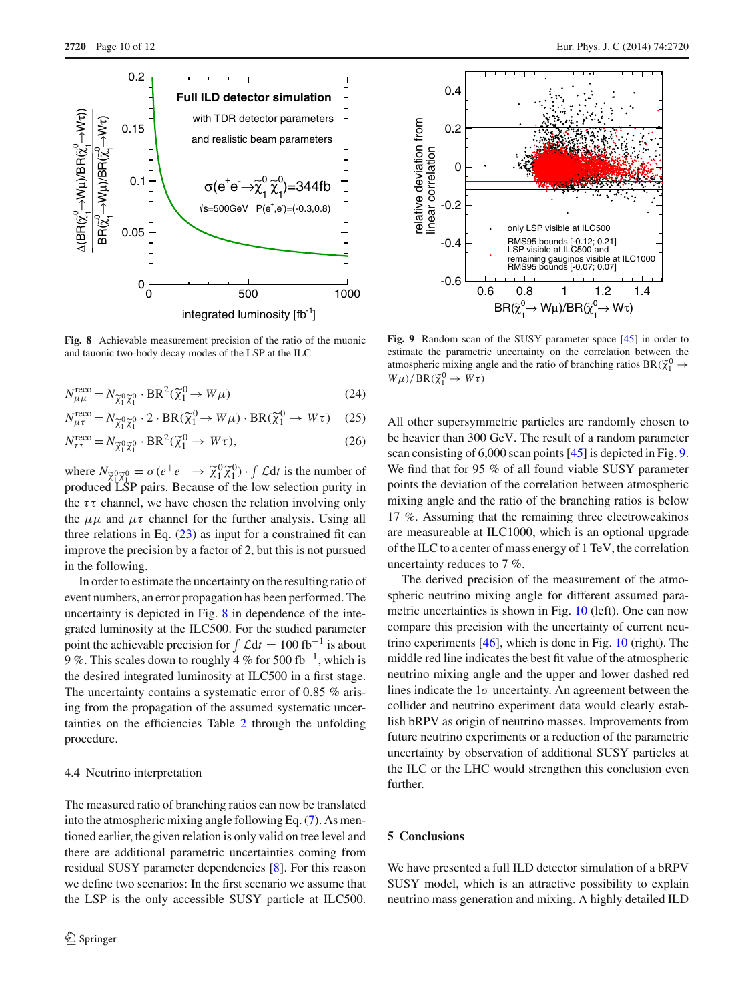

<span id="page-9-1"></span>**Fig. 8** Achievable measurement precision of the ratio of the muonic and tauonic two-body decay modes of the LSP at the ILC

$$
N_{\mu\mu}^{\text{reco}} = N_{\widetilde{\chi}_1^0 \widetilde{\chi}_1^0} \cdot \text{BR}^2(\widetilde{\chi}_1^0 \to W\mu)
$$
 (24)

$$
N_{\mu\tau}^{\text{reco}} = N_{\widetilde{\chi}_{1}^{0}\widetilde{\chi}_{1}^{0}} \cdot 2 \cdot \text{BR}(\widetilde{\chi}_{1}^{0} \to W\mu) \cdot \text{BR}(\widetilde{\chi}_{1}^{0} \to W\tau) \quad (25)
$$

$$
N_{\tau\tau}^{\text{reco}} = N_{\widetilde{\chi}_1^0 \widetilde{\chi}_1^0} \cdot \text{BR}^2(\widetilde{\chi}_1^0 \to W\tau),\tag{26}
$$

where  $N_{\tilde{\chi}_{1}^{0}\tilde{\chi}_{1}^{0}} = \sigma(e^{+}e^{-} \rightarrow \tilde{\chi}_{1}^{0}\tilde{\chi}_{1}^{0}) \cdot \int \mathcal{L}dt$  is the number of produced 1 SP pairs. Because of the low selection purity in where  $N_{\tilde{\chi}_1^0 \tilde{\chi}_1^0} = 0$  ( $e^+e^- \rightarrow \chi_1 \chi_1 \cdots \chi_n^0$  is the number of produced LSP pairs. Because of the low selection purity in the  $\tau\tau$  channel, we have chosen the relation involving only the  $\mu\mu$  and  $\mu\tau$  channel for the further analysis. Using all three relations in Eq.  $(23)$  as input for a constrained fit can improve the precision by a factor of 2, but this is not pursued in the following.

In order to estimate the uncertainty on the resulting ratio of event numbers, an error propagation has been performed. The uncertainty is depicted in Fig. [8](#page-9-1) in dependence of the integrated luminosity at the ILC500. For the studied parameter point the achievable precision for  $\int \mathcal{L} dt = 100$  fb<sup>-1</sup> is about 9 %. This scales down to roughly 4 % for 500 fb<sup>-1</sup>, which is the desired integrated luminosity at ILC500 in a first stage. The uncertainty contains a systematic error of 0.85 % arising from the propagation of the assumed systematic uncertainties on the efficiencies Table [2](#page-7-1) through the unfolding procedure.

#### 4.4 Neutrino interpretation

The measured ratio of branching ratios can now be translated into the atmospheric mixing angle following Eq. [\(7\)](#page-1-3). As mentioned earlier, the given relation is only valid on tree level and there are additional parametric uncertainties coming from residual SUSY parameter dependencies [\[8\]](#page-10-9). For this reason we define two scenarios: In the first scenario we assume that the LSP is the only accessible SUSY particle at ILC500.



<span id="page-9-2"></span>**Fig. 9** Random scan of the SUSY parameter space [\[45](#page-11-22)] in order to estimate the parametric uncertainty on the correlation between the atmospheric mixing angle and the ratio of branching ratios  $BR(\tilde{\chi}_1^0 \to W_H) / BR(\tilde{\chi}^0 \to W_{\tau})$  $W\mu$ )/BR( $\widetilde{\chi}_1^0 \rightarrow W\tau$ )

All other supersymmetric particles are randomly chosen to be heavier than 300 GeV. The result of a random parameter scan consisting of 6,000 scan points [\[45\]](#page-11-22) is depicted in Fig. [9.](#page-9-2) We find that for 95 % of all found viable SUSY parameter points the deviation of the correlation between atmospheric mixing angle and the ratio of the branching ratios is below 17 %. Assuming that the remaining three electroweakinos are measureable at ILC1000, which is an optional upgrade of the ILC to a center of mass energy of 1 TeV, the correlation uncertainty reduces to 7 %.

The derived precision of the measurement of the atmospheric neutrino mixing angle for different assumed parametric uncertainties is shown in Fig. [10](#page-10-14) (left). One can now compare this precision with the uncertainty of current neutrino experiments  $[46]$ , which is done in Fig. [10](#page-10-14) (right). The middle red line indicates the best fit value of the atmospheric neutrino mixing angle and the upper and lower dashed red lines indicate the  $1\sigma$  uncertainty. An agreement between the collider and neutrino experiment data would clearly establish bRPV as origin of neutrino masses. Improvements from future neutrino experiments or a reduction of the parametric uncertainty by observation of additional SUSY particles at the ILC or the LHC would strengthen this conclusion even further.

#### <span id="page-9-0"></span>**5 Conclusions**

We have presented a full ILD detector simulation of a bRPV SUSY model, which is an attractive possibility to explain neutrino mass generation and mixing. A highly detailed ILD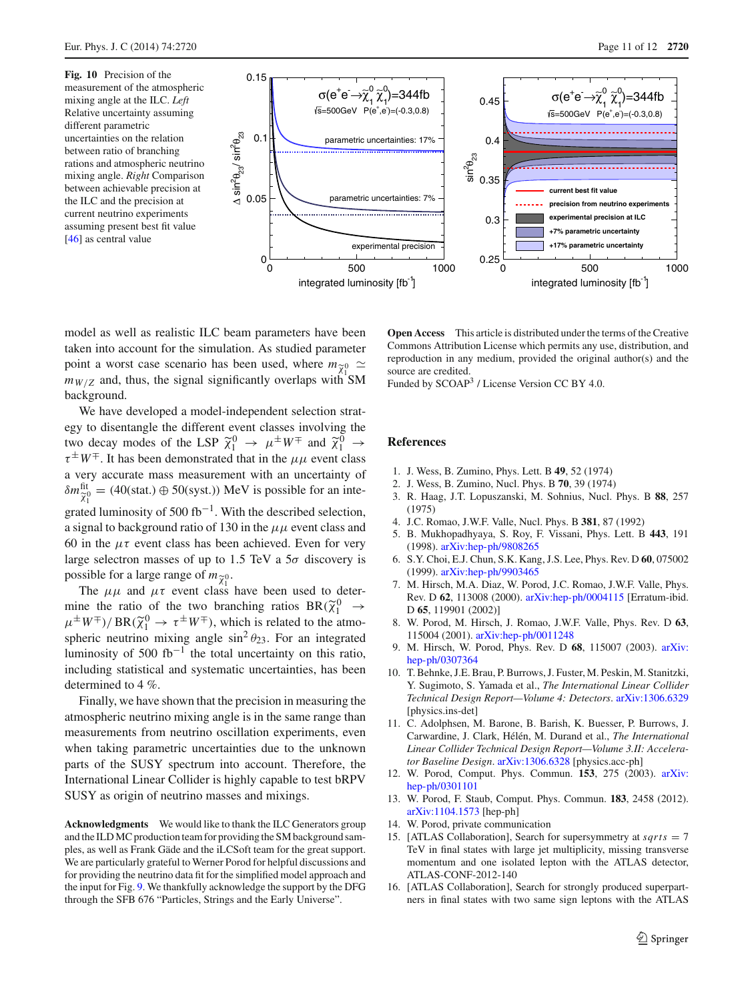<span id="page-10-14"></span>

model as well as realistic ILC beam parameters have been taken into account for the simulation. As studied parameter point a worst case scenario has been used, where  $m_{\tilde{\chi}_1^0} \simeq$ <br> $m_{W/Z}$  and thus the signal significantly overlaps with SM  $m_{W/Z}$  and, thus, the signal significantly overlaps with SM background.

We have developed a model-independent selection strategy to disentangle the different event classes involving the two decay modes of the LSP  $\tilde{\chi}_1^0 \rightarrow \mu^{\pm} W^{\mp}$  and  $\tilde{\chi}_1^0 \rightarrow \tau^{\pm} W^{\mp}$ . It has been demonstrated that in the *uu* event class  $\tau^{\pm}W^{\mp}$ . It has been demonstrated that in the  $\mu\mu$  event class a very accurate mass measurement with an uncertainty of  $\delta m_{\tilde{\chi}_1^0}^{\text{fit}} = (40 \text{(stat.)} \oplus 50 \text{(syst.)}) \text{ MeV is possible for an inte-}$ grated luminosity of 500 fb<sup>-1</sup>. With the described selection, a signal to background ratio of 130 in the  $\mu\mu$  event class and 60 in the  $\mu\tau$  event class has been achieved. Even for very large selectron masses of up to 1.5 TeV a  $5\sigma$  discovery is possible for a large range of  $m_{\tilde{\chi}_1^0}$ .<br>The *uu* and *u*<sub>**r**</sub> event class.

The  $\mu\mu$  and  $\mu\tau$  event class have been used to determine the ratio of the two branching ratios  $BR(\tilde{\chi}^0_1 \rightarrow \mu^{\pm}W^{\mp})/BR(\tilde{\chi}^0 \rightarrow \tau^{\pm}W^{\mp})$  which is related to the atmo- $\mu^{\pm} W^{\mp}$ )/BR( $\tilde{\chi}_1^0 \to \tau^{\pm} W^{\mp}$ ), which is related to the atmo-<br>spheric neutrino mixing angle  $\sin^2 \theta_{22}$ . For an integrated spheric neutrino mixing angle  $\sin^2 \theta_{23}$ . For an integrated luminosity of 500 fb<sup>-1</sup> the total uncertainty on this ratio, including statistical and systematic uncertainties, has been determined to 4 %.

Finally, we have shown that the precision in measuring the atmospheric neutrino mixing angle is in the same range than measurements from neutrino oscillation experiments, even when taking parametric uncertainties due to the unknown parts of the SUSY spectrum into account. Therefore, the International Linear Collider is highly capable to test bRPV SUSY as origin of neutrino masses and mixings.

**Acknowledgments** We would like to thank the ILC Generators group and the ILDMC production team for providing the SM background samples, as well as Frank Gäde and the iLCSoft team for the great support. We are particularly grateful to Werner Porod for helpful discussions and for providing the neutrino data fit for the simplified model approach and the input for Fig. [9.](#page-9-2) We thankfully acknowledge the support by the DFG through the SFB 676 "Particles, Strings and the Early Universe".

**Open Access** This article is distributed under the terms of the Creative Commons Attribution License which permits any use, distribution, and reproduction in any medium, provided the original author(s) and the source are credited.

Funded by SCOAP<sup>3</sup> / License Version CC BY 4.0.

#### <span id="page-10-7"></span>**References**

- <span id="page-10-0"></span>1. J. Wess, B. Zumino, Phys. Lett. B **49**, 52 (1974)
- <span id="page-10-1"></span>2. J. Wess, B. Zumino, Nucl. Phys. B **70**, 39 (1974)
- <span id="page-10-2"></span>3. R. Haag, J.T. Lopuszanski, M. Sohnius, Nucl. Phys. B **88**, 257 (1975)
- <span id="page-10-3"></span>4. J.C. Romao, J.W.F. Valle, Nucl. Phys. B **381**, 87 (1992)
- 5. B. Mukhopadhyaya, S. Roy, F. Vissani, Phys. Lett. B **443**, 191 (1998). [arXiv:hep-ph/9808265](http://arxiv.org/abs/arXiv:hep-ph/9808265)
- 6. S.Y. Choi, E.J. Chun, S.K. Kang, J.S. Lee, Phys. Rev. D **60**, 075002 (1999). [arXiv:hep-ph/9903465](http://arxiv.org/abs/arXiv:hep-ph/9903465)
- <span id="page-10-8"></span>7. M. Hirsch, M.A. Diaz, W. Porod, J.C. Romao, J.W.F. Valle, Phys. Rev. D **62**, 113008 (2000). [arXiv:hep-ph/0004115](http://arxiv.org/abs/arXiv:hep-ph/0004115) [Erratum-ibid. D **65**, 119901 (2002)]
- <span id="page-10-9"></span>8. W. Porod, M. Hirsch, J. Romao, J.W.F. Valle, Phys. Rev. D **63**, 115004 (2001). [arXiv:hep-ph/0011248](http://arxiv.org/abs/arXiv:hep-ph/0011248)
- <span id="page-10-4"></span>9. M. Hirsch, W. Porod, Phys. Rev. D **68**, 115007 (2003). [arXiv:](http://arxiv.org/abs/arXiv:hep-ph/0307364) [hep-ph/0307364](http://arxiv.org/abs/arXiv:hep-ph/0307364)
- <span id="page-10-5"></span>10. T. Behnke, J.E. Brau, P. Burrows, J. Fuster, M. Peskin, M. Stanitzki, Y. Sugimoto, S. Yamada et al., *The International Linear Collider Technical Design Report—Volume 4: Detectors*. [arXiv:1306.6329](http://arxiv.org/abs/arXiv:1306.6329) [physics.ins-det]
- <span id="page-10-6"></span>11. C. Adolphsen, M. Barone, B. Barish, K. Buesser, P. Burrows, J. Carwardine, J. Clark, Hélén, M. Durand et al., *The International Linear Collider Technical Design Report—Volume 3.II: Accelerator Baseline Design*. [arXiv:1306.6328](http://arxiv.org/abs/arXiv:1306.6328) [physics.acc-ph]
- <span id="page-10-10"></span>12. W. Porod, Comput. Phys. Commun. **153**, 275 (2003). [arXiv:](http://arxiv.org/abs/arXiv:hep-ph/0301101) [hep-ph/0301101](http://arxiv.org/abs/arXiv:hep-ph/0301101)
- <span id="page-10-11"></span>13. W. Porod, F. Staub, Comput. Phys. Commun. **183**, 2458 (2012). [arXiv:1104.1573](http://arxiv.org/abs/arXiv:1104.1573) [hep-ph]
- <span id="page-10-12"></span>14. W. Porod, private communication
- <span id="page-10-13"></span>15. [ATLAS Collaboration], Search for supersymmetry at *sqrts* = 7 TeV in final states with large jet multiplicity, missing transverse momentum and one isolated lepton with the ATLAS detector, ATLAS-CONF-2012-140
- 16. [ATLAS Collaboration], Search for strongly produced superpartners in final states with two same sign leptons with the ATLAS